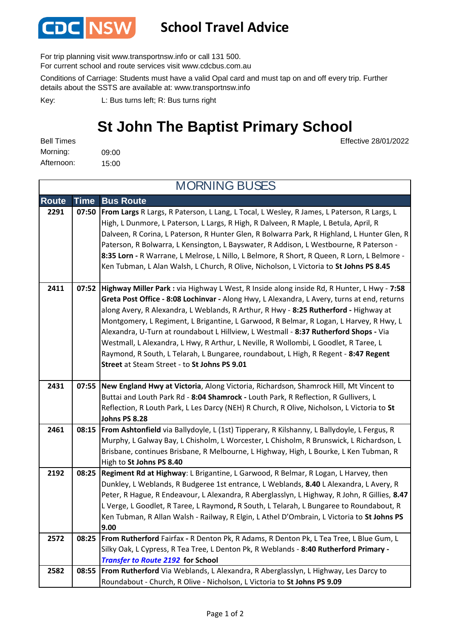

## **School Travel Advice**

For trip planning visit www.transportnsw.info or call 131 500.

For current school and route services visit www.cdcbus.com.au

Conditions of Carriage: Students must have a valid Opal card and must tap on and off every trip. Further details about the SSTS are available at: www.transportnsw.info

L: Bus turns left; R: Bus turns right Key:

## **St John The Baptist Primary School**

 $\overline{\mathbf{M}}$   $\mathbf{M}$  is  $\overline{\mathbf{M}}$  in  $\overline{\mathbf{M}}$ 

09:00 15:00 Afternoon: Bell Times Morning:

Effective 28/01/2022

| <b>MORNING BUSES</b> |             |                                                                                                                                                                                                                                                                                                                                                                                                                                                                                                                                                                                                                                                                                                    |  |
|----------------------|-------------|----------------------------------------------------------------------------------------------------------------------------------------------------------------------------------------------------------------------------------------------------------------------------------------------------------------------------------------------------------------------------------------------------------------------------------------------------------------------------------------------------------------------------------------------------------------------------------------------------------------------------------------------------------------------------------------------------|--|
| <b>Route</b>         | <b>Time</b> | <b>Bus Route</b>                                                                                                                                                                                                                                                                                                                                                                                                                                                                                                                                                                                                                                                                                   |  |
| 2291                 | 07:50       | From Largs R Largs, R Paterson, L Lang, L Tocal, L Wesley, R James, L Paterson, R Largs, L<br>High, L Dunmore, L Paterson, L Largs, R High, R Dalveen, R Maple, L Betula, April, R<br>Dalveen, R Corina, L Paterson, R Hunter Glen, R Bolwarra Park, R Highland, L Hunter Glen, R<br>Paterson, R Bolwarra, L Kensington, L Bayswater, R Addison, L Westbourne, R Paterson -<br>8:35 Lorn - R Warrane, L Melrose, L Nillo, L Belmore, R Short, R Queen, R Lorn, L Belmore -<br>Ken Tubman, L Alan Walsh, L Church, R Olive, Nicholson, L Victoria to St Johns PS 8.45                                                                                                                               |  |
| 2411                 | 07:52       | Highway Miller Park : via Highway L West, R Inside along inside Rd, R Hunter, L Hwy - 7:58<br>Greta Post Office - 8:08 Lochinvar - Along Hwy, L Alexandra, L Avery, turns at end, returns<br>along Avery, R Alexandra, L Weblands, R Arthur, R Hwy - 8:25 Rutherford - Highway at<br>Montgomery, L Regiment, L Brigantine, L Garwood, R Belmar, R Logan, L Harvey, R Hwy, L<br>Alexandra, U-Turn at roundabout L Hillview, L Westmall - 8:37 Rutherford Shops - Via<br>Westmall, L Alexandra, L Hwy, R Arthur, L Neville, R Wollombi, L Goodlet, R Taree, L<br>Raymond, R South, L Telarah, L Bungaree, roundabout, L High, R Regent - 8:47 Regent<br>Street at Steam Street - to St Johns PS 9.01 |  |
| 2431                 | 07:55       | New England Hwy at Victoria, Along Victoria, Richardson, Shamrock Hill, Mt Vincent to                                                                                                                                                                                                                                                                                                                                                                                                                                                                                                                                                                                                              |  |
|                      |             | Buttai and Louth Park Rd - 8:04 Shamrock - Louth Park, R Reflection, R Gullivers, L                                                                                                                                                                                                                                                                                                                                                                                                                                                                                                                                                                                                                |  |
|                      |             | Reflection, R Louth Park, L Les Darcy (NEH) R Church, R Olive, Nicholson, L Victoria to St<br><b>Johns PS 8.28</b>                                                                                                                                                                                                                                                                                                                                                                                                                                                                                                                                                                                 |  |
| 2461                 |             | 08:15   From Ashtonfield via Ballydoyle, L (1st) Tipperary, R Kilshanny, L Ballydoyle, L Fergus, R<br>Murphy, L Galway Bay, L Chisholm, L Worcester, L Chisholm, R Brunswick, L Richardson, L<br>Brisbane, continues Brisbane, R Melbourne, L Highway, High, L Bourke, L Ken Tubman, R<br>High to St Johns PS 8.40                                                                                                                                                                                                                                                                                                                                                                                 |  |
| 2192                 | 08:25       | Regiment Rd at Highway: L Brigantine, L Garwood, R Belmar, R Logan, L Harvey, then<br>Dunkley, L Weblands, R Budgeree 1st entrance, L Weblands, 8.40 L Alexandra, L Avery, R<br>Peter, R Hague, R Endeavour, L Alexandra, R Aberglasslyn, L Highway, R John, R Gillies, 8.47<br>L Verge, L Goodlet, R Taree, L Raymond, R South, L Telarah, L Bungaree to Roundabout, R<br>Ken Tubman, R Allan Walsh - Railway, R Elgin, L Athel D'Ombrain, L Victoria to St Johns PS<br>9.00                                                                                                                                                                                                                      |  |
| 2572                 | 08:25       | From Rutherford Fairfax - R Denton Pk, R Adams, R Denton Pk, L Tea Tree, L Blue Gum, L                                                                                                                                                                                                                                                                                                                                                                                                                                                                                                                                                                                                             |  |
|                      |             | Silky Oak, L Cypress, R Tea Tree, L Denton Pk, R Weblands - 8:40 Rutherford Primary -                                                                                                                                                                                                                                                                                                                                                                                                                                                                                                                                                                                                              |  |
|                      |             | <b>Transfer to Route 2192 for School</b>                                                                                                                                                                                                                                                                                                                                                                                                                                                                                                                                                                                                                                                           |  |
| 2582                 | 08:55       | From Rutherford Via Weblands, L Alexandra, R Aberglasslyn, L Highway, Les Darcy to<br>Roundabout - Church, R Olive - Nicholson, L Victoria to St Johns PS 9.09                                                                                                                                                                                                                                                                                                                                                                                                                                                                                                                                     |  |